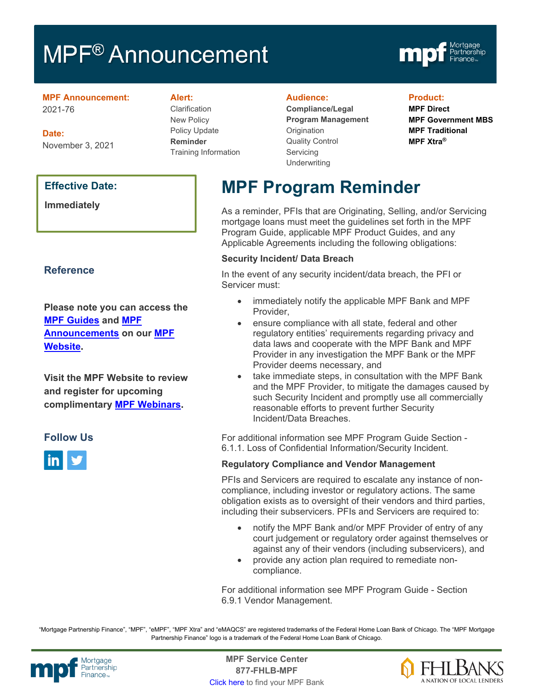# **MPF<sup>®</sup> Announcement**



#### **MPF Announcement:** 2021-76

**Date:** November 3, 2021

### **Effective Date:**

**Immediately** 

# **Reference**

**Please note you can access the [MPF Guides](https://fhlbmpf.com/mpf-guides/guides) and [MPF](https://fhlbmpf.com/mpf-guides/announcements)  [Announcements](https://fhlbmpf.com/mpf-guides/announcements) on our [MPF](https://fhlbmpf.com/)  [Website.](https://fhlbmpf.com/)** 

**Visit the MPF Website to review and register for upcoming complimentary [MPF Webinars.](https://www.fhlbmpf.com/education/upcoming-webinars)**

## **Follow Us**



#### **Alert:**

Clarification New Policy Policy Update **Reminder** Training Information

#### **Audience:**

**Compliance/Legal Program Management Origination** Quality Control **Servicing Underwriting** 

#### **Product:**

**MPF Direct MPF Government MBS MPF Traditional MPF Xtra®**

# **MPF Program Reminder**

As a reminder, PFIs that are Originating, Selling, and/or Servicing mortgage loans must meet the guidelines set forth in the MPF Program Guide, applicable MPF Product Guides, and any Applicable Agreements including the following obligations:

#### **Security Incident/ Data Breach**

In the event of any security incident/data breach, the PFI or Servicer must:

- immediately notify the applicable MPF Bank and MPF Provider,
- ensure compliance with all state, federal and other regulatory entities' requirements regarding privacy and data laws and cooperate with the MPF Bank and MPF Provider in any investigation the MPF Bank or the MPF Provider deems necessary, and
- take immediate steps, in consultation with the MPF Bank and the MPF Provider, to mitigate the damages caused by such Security Incident and promptly use all commercially reasonable efforts to prevent further Security Incident/Data Breaches.

For additional information see MPF Program Guide Section - 6.1.1. Loss of Confidential Information/Security Incident.

#### **Regulatory Compliance and Vendor Management**

PFIs and Servicers are required to escalate any instance of noncompliance, including investor or regulatory actions. The same obligation exists as to oversight of their vendors and third parties, including their subservicers. PFIs and Servicers are required to:

- notify the MPF Bank and/or MPF Provider of entry of any court judgement or regulatory order against themselves or against any of their vendors (including subservicers), and
- provide any action plan required to remediate noncompliance.

For additional information see MPF Program Guide - Section 6.9.1 Vendor Management.

"Mortgage Partnership Finance", "MPF", "eMPF", "MPF Xtra" and "eMAQCS" are registered trademarks of the Federal Home Loan Bank of Chicago. The "MPF Mortgage Partnership Finance" logo is a trademark of the Federal Home Loan Bank of Chicago.



Mortgage **Center Service Center**<br>Partnership **Canadian Center Center**<br> **Partnership CALL STATELL B MDE 877-FHLB-MPF** [Click here](https://www.fhlbmpf.com/fhlbanks/fhlbanks) to find your MPF Bank